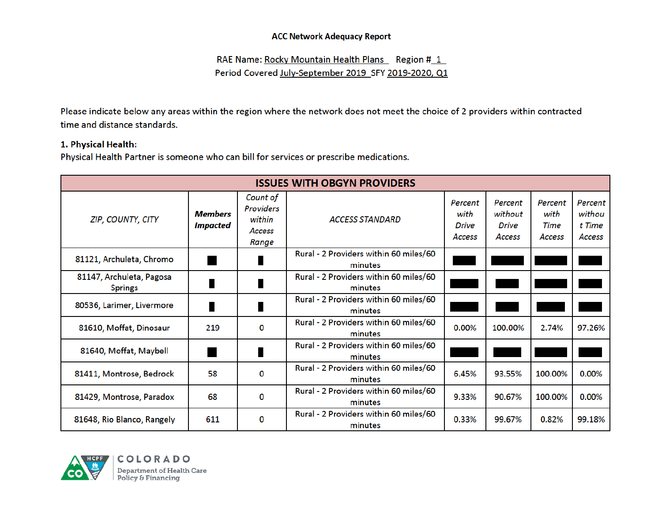RAE Name: Rocky Mountain Health Plans Region #1 Period Covered July-September 2019\_SFY 2019-2020, Q1

Please indicate below any areas within the region where the network does not meet the choice of 2 providers within contracted time and distance standards.

#### 1. Physical Health:

Physical Health Partner is someone who can bill for services or prescribe medications.

| <b>ISSUES WITH OBGYN PROVIDERS</b>         |                                   |                                                                  |                                                   |                                           |                                              |                                          |                                       |  |  |  |  |
|--------------------------------------------|-----------------------------------|------------------------------------------------------------------|---------------------------------------------------|-------------------------------------------|----------------------------------------------|------------------------------------------|---------------------------------------|--|--|--|--|
| <b>ZIP, COUNTY, CITY</b>                   | <b>Members</b><br><b>Impacted</b> | Count of<br><b>Providers</b><br>within<br><b>Access</b><br>Range | <b>ACCESS STANDARD</b>                            | Percent<br>with<br><b>Drive</b><br>Access | Percent<br>without<br><b>Drive</b><br>Access | Percent<br>with<br>Time<br><b>Access</b> | Percent<br>withou<br>t Time<br>Access |  |  |  |  |
| 81121, Archuleta, Chromo                   |                                   |                                                                  | Rural - 2 Providers within 60 miles/60<br>minutes |                                           |                                              |                                          |                                       |  |  |  |  |
| 81147, Archuleta, Pagosa<br><b>Springs</b> |                                   |                                                                  | Rural - 2 Providers within 60 miles/60<br>minutes |                                           |                                              |                                          |                                       |  |  |  |  |
| 80536, Larimer, Livermore                  |                                   |                                                                  | Rural - 2 Providers within 60 miles/60<br>minutes |                                           |                                              |                                          |                                       |  |  |  |  |
| 81610, Moffat, Dinosaur                    | 219                               | $\bf{0}$                                                         | Rural - 2 Providers within 60 miles/60<br>minutes | 0.00%                                     | 100.00%                                      | 2.74%                                    | 97.26%                                |  |  |  |  |
| 81640, Moffat, Maybell                     |                                   |                                                                  | Rural - 2 Providers within 60 miles/60<br>minutes |                                           |                                              |                                          |                                       |  |  |  |  |
| 81411, Montrose, Bedrock                   | 58                                | 0                                                                | Rural - 2 Providers within 60 miles/60<br>minutes | 6.45%                                     | 93.55%                                       | 100.00%                                  | 0.00%                                 |  |  |  |  |
| 81429, Montrose, Paradox                   | 68                                | 0                                                                | Rural - 2 Providers within 60 miles/60<br>minutes | 9.33%                                     | 90.67%                                       | 100.00%                                  | 0.00%                                 |  |  |  |  |
| 81648, Rio Blanco, Rangely                 | 611                               | 0                                                                | Rural - 2 Providers within 60 miles/60<br>minutes | 0.33%                                     | 99.67%                                       | 0.82%                                    | 99.18%                                |  |  |  |  |

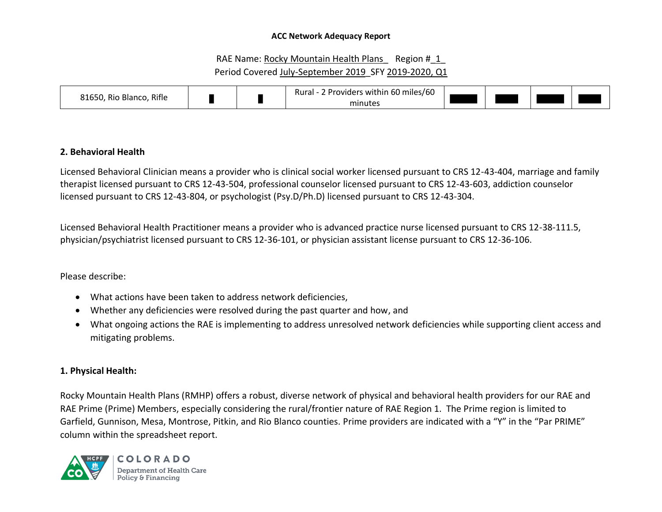# RAE Name: Rocky Mountain Health Plans Region # 1 Period Covered July-September 2019 SFY 2019-2020, Q1

| 81650, Rio Blanco,<br>. Rifle |  |  | 60 miles/60<br>. .<br>Rural -<br>! Providers within<br>minutes |  |  |  |  |
|-------------------------------|--|--|----------------------------------------------------------------|--|--|--|--|
|-------------------------------|--|--|----------------------------------------------------------------|--|--|--|--|

# **2. Behavioral Health**

Licensed Behavioral Clinician means a provider who is clinical social worker licensed pursuant to CRS 12-43-404, marriage and family therapist licensed pursuant to CRS 12-43-504, professional counselor licensed pursuant to CRS 12-43-603, addiction counselor licensed pursuant to CRS 12-43-804, or psychologist (Psy.D/Ph.D) licensed pursuant to CRS 12-43-304.

Licensed Behavioral Health Practitioner means a provider who is advanced practice nurse licensed pursuant to CRS 12-38-111.5, physician/psychiatrist licensed pursuant to CRS 12-36-101, or physician assistant license pursuant to CRS 12-36-106.

### Please describe:

- What actions have been taken to address network deficiencies,
- Whether any deficiencies were resolved during the past quarter and how, and
- What ongoing actions the RAE is implementing to address unresolved network deficiencies while supporting client access and mitigating problems.

### **1. Physical Health:**

Rocky Mountain Health Plans (RMHP) offers a robust, diverse network of physical and behavioral health providers for our RAE and RAE Prime (Prime) Members, especially considering the rural/frontier nature of RAE Region 1. The Prime region is limited to Garfield, Gunnison, Mesa, Montrose, Pitkin, and Rio Blanco counties. Prime providers are indicated with a "Y" in the "Par PRIME" column within the spreadsheet report.

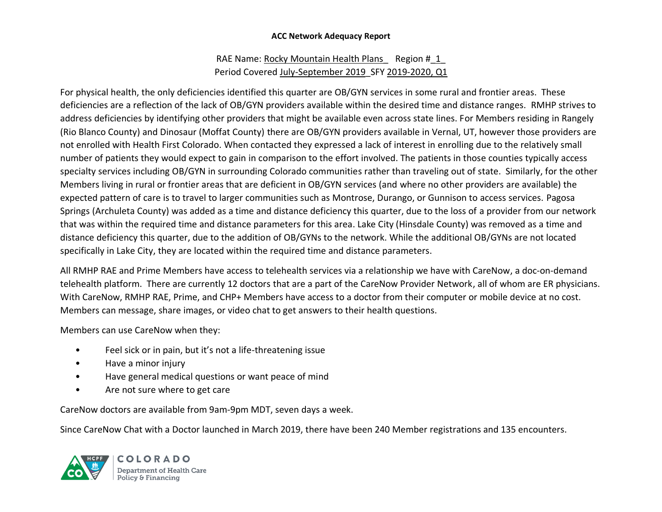# RAE Name: Rocky Mountain Health Plans Region # 1 Period Covered July-September 2019 SFY 2019-2020, Q1

For physical health, the only deficiencies identified this quarter are OB/GYN services in some rural and frontier areas. These deficiencies are a reflection of the lack of OB/GYN providers available within the desired time and distance ranges. RMHP strives to address deficiencies by identifying other providers that might be available even across state lines. For Members residing in Rangely (Rio Blanco County) and Dinosaur (Moffat County) there are OB/GYN providers available in Vernal, UT, however those providers are not enrolled with Health First Colorado. When contacted they expressed a lack of interest in enrolling due to the relatively small number of patients they would expect to gain in comparison to the effort involved. The patients in those counties typically access specialty services including OB/GYN in surrounding Colorado communities rather than traveling out of state. Similarly, for the other Members living in rural or frontier areas that are deficient in OB/GYN services (and where no other providers are available) the expected pattern of care is to travel to larger communities such as Montrose, Durango, or Gunnison to access services. Pagosa Springs (Archuleta County) was added as a time and distance deficiency this quarter, due to the loss of a provider from our network that was within the required time and distance parameters for this area. Lake City (Hinsdale County) was removed as a time and distance deficiency this quarter, due to the addition of OB/GYNs to the network. While the additional OB/GYNs are not located specifically in Lake City, they are located within the required time and distance parameters.

All RMHP RAE and Prime Members have access to telehealth services via a relationship we have with CareNow, a doc-on-demand telehealth platform. There are currently 12 doctors that are a part of the CareNow Provider Network, all of whom are ER physicians. With CareNow, RMHP RAE, Prime, and CHP+ Members have access to a doctor from their computer or mobile device at no cost. Members can message, share images, or video chat to get answers to their health questions.

Members can use CareNow when they:

- Feel sick or in pain, but it's not a life-threatening issue
- Have a minor injury
- Have general medical questions or want peace of mind
- Are not sure where to get care

CareNow doctors are available from 9am-9pm MDT, seven days a week.

Since CareNow Chat with a Doctor launched in March 2019, there have been 240 Member registrations and 135 encounters.

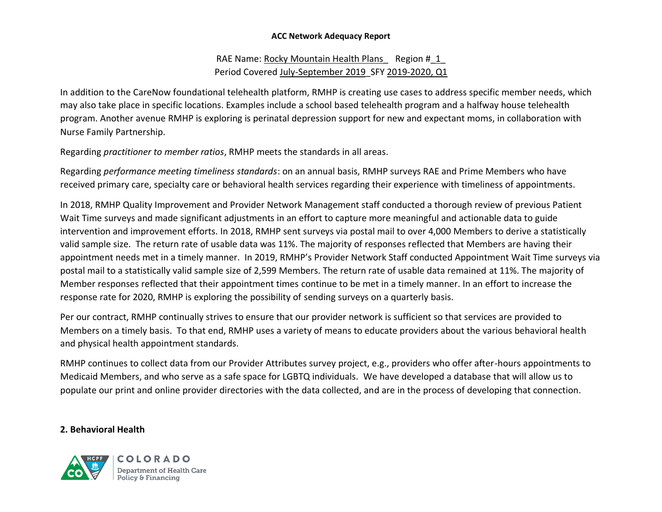# RAE Name: Rocky Mountain Health Plans Region # 1 Period Covered July-September 2019 SFY 2019-2020, Q1

In addition to the CareNow foundational telehealth platform, RMHP is creating use cases to address specific member needs, which may also take place in specific locations. Examples include a school based telehealth program and a halfway house telehealth program. Another avenue RMHP is exploring is perinatal depression support for new and expectant moms, in collaboration with Nurse Family Partnership.

Regarding *practitioner to member ratios*, RMHP meets the standards in all areas.

Regarding *performance meeting timeliness standards*: on an annual basis, RMHP surveys RAE and Prime Members who have received primary care, specialty care or behavioral health services regarding their experience with timeliness of appointments.

In 2018, RMHP Quality Improvement and Provider Network Management staff conducted a thorough review of previous Patient Wait Time surveys and made significant adjustments in an effort to capture more meaningful and actionable data to guide intervention and improvement efforts. In 2018, RMHP sent surveys via postal mail to over 4,000 Members to derive a statistically valid sample size. The return rate of usable data was 11%. The majority of responses reflected that Members are having their appointment needs met in a timely manner. In 2019, RMHP's Provider Network Staff conducted Appointment Wait Time surveys via postal mail to a statistically valid sample size of 2,599 Members. The return rate of usable data remained at 11%. The majority of Member responses reflected that their appointment times continue to be met in a timely manner. In an effort to increase the response rate for 2020, RMHP is exploring the possibility of sending surveys on a quarterly basis.

Per our contract, RMHP continually strives to ensure that our provider network is sufficient so that services are provided to Members on a timely basis. To that end, RMHP uses a variety of means to educate providers about the various behavioral health and physical health appointment standards.

RMHP continues to collect data from our Provider Attributes survey project, e.g., providers who offer after-hours appointments to Medicaid Members, and who serve as a safe space for LGBTQ individuals. We have developed a database that will allow us to populate our print and online provider directories with the data collected, and are in the process of developing that connection.

# **2. Behavioral Health**



COLORADO Department of Health Care Policy & Financing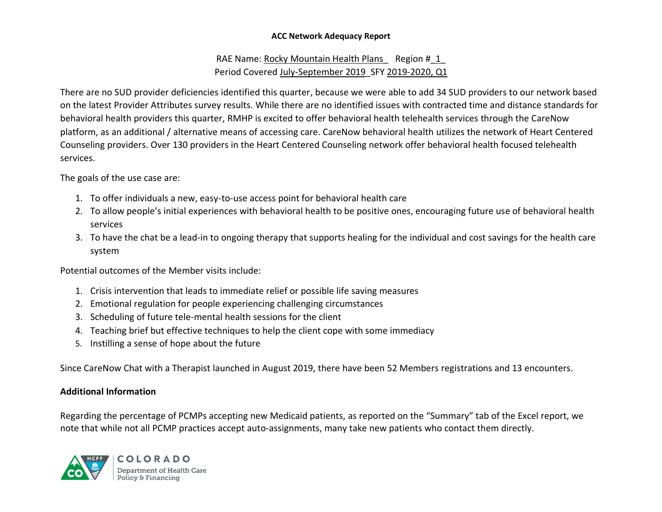# RAE Name: Rocky Mountain Health Plans Region # 1 Period Covered July-September 2019 SFY 2019-2020, Q1

There are no SUD provider deficiencies identified this quarter, because we were able to add 34 SUD providers to our network based on the latest Provider Attributes survey results. While there are no identified issues with contracted time and distance standards for behavioral health providers this quarter, RMHP is excited to offer behavioral health telehealth services through the CareNow platform, as an additional / alternative means of accessing care. CareNow behavioral health utilizes the network of Heart Centered Counseling providers. Over 130 providers in the Heart Centered Counseling network offer behavioral health focused telehealth services.

The goals of the use case are:

- 1. To offer individuals a new, easy-to-use access point for behavioral health care
- 2. To allow people's initial experiences with behavioral health to be positive ones, encouraging future use of behavioral health services
- 3. To have the chat be a lead-in to ongoing therapy that supports healing for the individual and cost savings for the health care system

Potential outcomes of the Member visits include:

- 1. Crisis intervention that leads to immediate relief or possible life saving measures
- 2. Emotional regulation for people experiencing challenging circumstances
- 3. Scheduling of future tele-mental health sessions for the client
- 4. Teaching brief but effective techniques to help the client cope with some immediacy
- 5. Instilling a sense of hope about the future

Since CareNow Chat with a Therapist launched in August 2019, there have been 52 Members registrations and 13 encounters.

# **Additional Information**

Regarding the percentage of PCMPs accepting new Medicaid patients, as reported on the "Summary" tab of the Excel report, we note that while not all PCMP practices accept auto-assignments, many take new patients who contact them directly.



**COLORADO** Department of Health Care Policy & Financing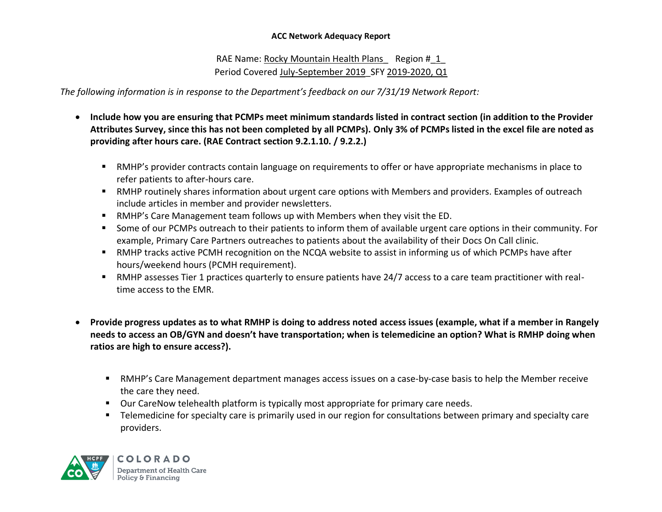RAE Name: Rocky Mountain Health Plans Region # 1 Period Covered July-September 2019 SFY 2019-2020, Q1

*The following information is in response to the Department's feedback on our 7/31/19 Network Report:*

- **Include how you are ensuring that PCMPs meet minimum standards listed in contract section (in addition to the Provider Attributes Survey, since this has not been completed by all PCMPs). Only 3% of PCMPs listed in the excel file are noted as providing after hours care. (RAE Contract section 9.2.1.10. / 9.2.2.)**
	- RMHP's provider contracts contain language on requirements to offer or have appropriate mechanisms in place to refer patients to after-hours care.
	- RMHP routinely shares information about urgent care options with Members and providers. Examples of outreach include articles in member and provider newsletters.
	- RMHP's Care Management team follows up with Members when they visit the ED.
	- Some of our PCMPs outreach to their patients to inform them of available urgent care options in their community. For example, Primary Care Partners outreaches to patients about the availability of their Docs On Call clinic.
	- RMHP tracks active PCMH recognition on the NCQA website to assist in informing us of which PCMPs have after hours/weekend hours (PCMH requirement).
	- RMHP assesses Tier 1 practices quarterly to ensure patients have 24/7 access to a care team practitioner with realtime access to the EMR.
- **Provide progress updates as to what RMHP is doing to address noted access issues (example, what if a member in Rangely needs to access an OB/GYN and doesn't have transportation; when is telemedicine an option? What is RMHP doing when ratios are high to ensure access?).** 
	- RMHP's Care Management department manages access issues on a case-by-case basis to help the Member receive the care they need.
	- Our CareNow telehealth platform is typically most appropriate for primary care needs.
	- **EXEDENT TELE TERS** Telemeticine for specialty care is primarily used in our region for consultations between primary and specialty care providers.